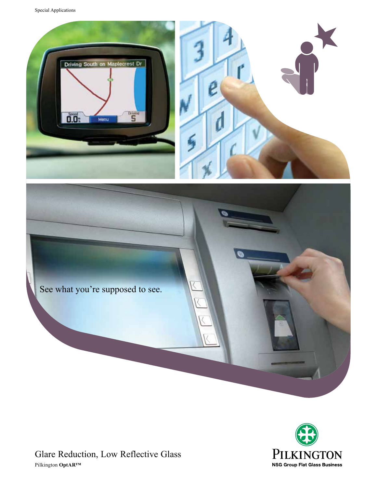Special Applications









Glare Reduction, Low Reflective Glass Pilkington **OptAR™**